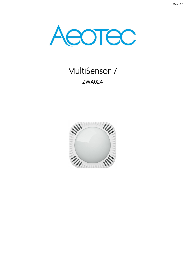

# MultiSensor 7 ZWA024

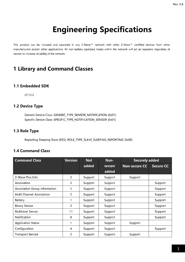# Engineering Specifications

This product can be included and operated in any Z-Wave™ network with other Z-Wave™ certified devices from other manufacturers and/or other applications. All non-battery operated nodes within the network will act as repeaters regardless of vendor to increase reliability of the network.

## 1 Library and Command Classes

#### 1.1 Embedded SDK

v7.12.2

#### 1.2 Device Type

Generic Device Class: GENERIC\_TYPE\_SENSOR\_NOTIFICATION (0x07) Specific Device Class: SPECIFIC\_TYPE\_NOTIFICATION\_SENSOR (0x01)

#### 1.3 Role Type

Reporting Sleeping Slave (RSS): ROLE\_TYPE\_SLAVE\_SLEEPING\_REPORTING (0x06)

#### 1.4 Command Class

| <b>Command Class</b>                 | <b>Version</b> | <b>Not</b> | Non-    | <b>Securely added</b> |                  |
|--------------------------------------|----------------|------------|---------|-----------------------|------------------|
|                                      |                | added      | secure  | <b>Non-secure CC</b>  | <b>Secure CC</b> |
|                                      |                |            | added   |                       |                  |
| Z-Wave Plus Info                     | 2              | Support    | Support | Support               |                  |
| Association                          | 2              | Support    | Support |                       | Support          |
| <b>Association Group Information</b> | 3              | Support    | Support |                       | Support          |
| Multi Channel Association            | 3              | Support    | Support |                       | Support          |
| Battery                              |                | Support    | Support |                       | Support          |
| <b>Binary Sensor</b>                 | 2              | Support    | Support |                       | Support          |
| Multilevel Sensor                    | 11             | Support    | Support |                       | Support          |
| Notification                         | 8              | Support    | Support |                       | Support          |
| <b>Application Status</b>            |                | Support    | Support | Support               |                  |
| Configuration                        | 4              | Support    | Support |                       | Support          |
| <b>Transport Service</b>             | 2              | Support    | Support | Support               |                  |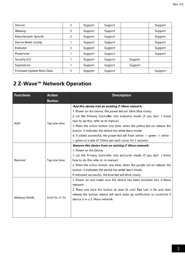| Version                   | 3 | Support | Support |         | Support |
|---------------------------|---|---------|---------|---------|---------|
| Wakeup                    | 2 | Support | Support |         | Support |
| Manufacturer Specific     | 2 | Support | Support |         | Support |
| Device Reset Locally      |   | Support | Support |         | Support |
| Indicator                 | 3 | Support | Support |         | Support |
| Powerlevel                |   | Support | Support |         | Support |
| Security 0/2              |   | Support | Support | Support |         |
| Supervision               |   | Support | Support | Support |         |
| Firmware Update Meta Data |   | Support | Support |         | Support |

## 2 Z-Wave<sup>™</sup> Network Operation

| <b>Functions</b>    | <b>Action</b>        | <b>Description</b>                                                                                                                                                                                                                                                                                                                                                                                                                                   |
|---------------------|----------------------|------------------------------------------------------------------------------------------------------------------------------------------------------------------------------------------------------------------------------------------------------------------------------------------------------------------------------------------------------------------------------------------------------------------------------------------------------|
|                     | <b>Button</b>        |                                                                                                                                                                                                                                                                                                                                                                                                                                                      |
| Add <sup>1</sup>    | Tap one time         | Add this device into an existing Z-Wave network:<br>1. Power on the device, the power led will blink blue slowly.<br>2. Let the Primary Controller into inclusion mode (If you don't know<br>how to do this, refer to its manual)<br>3. Press the action button one time, when the yellow led on release the<br>button. It indicates the device has enter learn mode.<br>4. If added successful, the power led will flash (white -> green -> white - |
|                     |                      | > green at a rate of 250ms per each color) for 2 seconds.                                                                                                                                                                                                                                                                                                                                                                                            |
| Remove <sup>1</sup> | Tap one time         | Remove this device from an existing Z-Wave network:<br>1. Power on the device.<br>1. Let the Primary Controller into exclusion mode (If you don't know<br>how to do this refer to its manual)<br>2. Press the action button one time, when the purple led on release the<br>button. It indicates the device has enter learn mode.<br>If removed successful, the blue led will blink slowly.                                                          |
| Wakeup Notify       | Hold for $2 \sim 5s$ | 1. Power on and make sure the device has been included into Z-Wave<br>network.<br>2. Press and hold the button at least 2s until Red Led Is On and then<br>release the button, device will send wake up notification to controller if<br>device is in a Z-Wave network.                                                                                                                                                                              |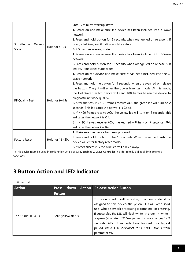|                        |                 | Enter 5 minutes wakeup state:                                                   |
|------------------------|-----------------|---------------------------------------------------------------------------------|
|                        |                 | 1. Power on and make sure the device has been included into Z-Wave              |
|                        |                 | network.                                                                        |
|                        |                 | 2. Press and hold button for 5 seconds, when orange led on release it. If       |
| 5<br>Minutes<br>Wakup  | Hold for 5~9s   | orange led keep on, it indicates state entered.                                 |
| State                  |                 | Exit 5 minutes wakeup state:                                                    |
|                        |                 | 1. Power on and make sure the device has been included into Z-Wave              |
|                        |                 | network.                                                                        |
|                        |                 | 2. Press and hold button for 5 seconds, when orange led on release it. If       |
|                        |                 | led off, it indicates state exited.                                             |
|                        |                 | 1. Power on the device and make sure it has been included into the Z-           |
|                        | Hold for 9~15s  | Wave network.                                                                   |
|                        |                 | 2. Press and hold the button for 9 seconds, when the cyan led on release        |
|                        |                 | the button. Then, it will enter the power level test mode. At this mode,        |
|                        |                 | the Hot Water Switch device will send 100 frames to remote device to            |
| <b>RF Quality Test</b> |                 | diagnostic network quality.                                                     |
|                        |                 | 3. After the test, if $>$ = 97 frames receive ACK, the green led will turn on 2 |
|                        |                 | seconds. This indicates the network is Good.                                    |
|                        |                 | 4. If >=90 frames receive ACK, the yellow led will turn on 2 seconds. This      |
| <b>Factory Reset</b>   |                 | indicates the network is OK.                                                    |
|                        |                 | 5. If < 90 frames receive ACK, the red led will turn on 2 seconds. This         |
|                        |                 | indicates the network is Bad.                                                   |
|                        |                 | 1. Make sure the device has been powered.                                       |
|                        | Hold for 15~20s | 2. Press and hold the button for 15 seconds. When the red led flash, the        |
|                        |                 | device will enter factory reset mode.                                           |
|                        |                 | 3. If reset successful, the blue led will blink slowly.                         |

1) This device must be used in conjunction with a Security Enabled Z-Wave Controller in order to fully utilize all implemented functions.

## 3 Button Action and LED Indicator

#### Unit: second

| <b>Action</b>        | <b>Press</b>        | down Action Release Action Button                                                                                                                                                                                                                                                                                                                                                                                                    |
|----------------------|---------------------|--------------------------------------------------------------------------------------------------------------------------------------------------------------------------------------------------------------------------------------------------------------------------------------------------------------------------------------------------------------------------------------------------------------------------------------|
|                      | <b>Button</b>       |                                                                                                                                                                                                                                                                                                                                                                                                                                      |
| Tap 1 time [0.04, 1] | Solid yellow status | Turns on a solid yellow status, If a new node id is<br>assigned to this device, the yellow LED will keep solid<br>until whole network processing is complete (or entering.<br>If successful, the LED will flash white -> green -> white -<br>> green (at a rate of 250ms per each color change) for 2<br>seconds. After 2 seconds have finished, use typical<br>paired status LED indicators for ON/OFF status from<br>parameter #1. |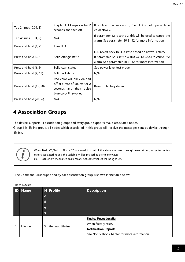| Tap 2 times [0.04, 1)          | Purple LED keeps on for 2<br>seconds and then off                                                              | If exclusion is successful, the LED should pulse blue<br>color slowly.                                                                                                        |
|--------------------------------|----------------------------------------------------------------------------------------------------------------|-------------------------------------------------------------------------------------------------------------------------------------------------------------------------------|
| Tap 4 times [0.04, 2)          | N/A                                                                                                            | If parameter 32 is set to 2, this will be used to cancel the<br>alarm. See parameter 30, 31, 32 for more information.                                                         |
| Press and hold [1, 2)          | Turn LED off                                                                                                   |                                                                                                                                                                               |
| Press and hold (2, 5)          | Solid orange status                                                                                            | LED revert back to LED state based on network state.<br>If parameter 32 is set to 4, this will be used to cancel the<br>alarm. See parameter 30, 31, 32 for more information. |
| Press and hold [5, 9)          | Solid cyan status                                                                                              | See power level test mode.                                                                                                                                                    |
| Press and hold [9, 15)         | Solid red status                                                                                               | N/A                                                                                                                                                                           |
| Press and hold [15, 20)        | Red color will blink on and<br>off at a rate of 200ms for 2<br>seconds and then pulse<br>blue color if removed | Reset to factory default                                                                                                                                                      |
| Press and hold [20, $\infty$ ) | N/A                                                                                                            | N/A                                                                                                                                                                           |

## 4 Association Groups

The device supports 11 association groups and every group supports max 5 associated nodes.

Group 1 is lifeline group, all nodes which associated in this group will receive the messages sent by device through lifeline.



When Basic CC/Switch Binary CC are used to control this device or sent through association groups to control other associated nodes, the variable will be phased as the follow ways: 0x01~0x063/0xff means On, 0x00 means Off, other values will be ignored.

The Command Class supported by each association group is shown in the table below:

|                | 1100 L DUVILL |                        |           |                                                |
|----------------|---------------|------------------------|-----------|------------------------------------------------|
| $\blacksquare$ | <b>Name</b>   |                        | N Profile | <b>Description</b>                             |
|                |               | $\circ$                |           |                                                |
|                |               | d                      |           |                                                |
|                |               | e                      |           |                                                |
|                |               | $\mathsf{s}$           |           |                                                |
|                |               |                        |           | <b>Device Reset Locally:</b>                   |
|                | Lifeline<br>1 | General: Lifeline<br>5 |           | When factory reset.                            |
|                |               |                        |           | <b>Notification Report:</b>                    |
|                |               |                        |           | See Notification Chapter for more information. |

Root Device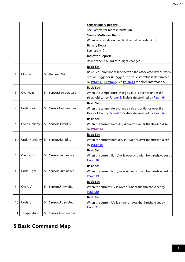|                |               |    |                     | <b>Sensor Binary Report:</b>                                     |
|----------------|---------------|----|---------------------|------------------------------------------------------------------|
|                |               |    |                     | See Param5 for more information.                                 |
|                |               |    |                     | <b>Sensor Multilevel Report:</b>                                 |
|                |               |    |                     | When sensors above over limit or below under limit.              |
|                |               |    |                     | <b>Battery Report:</b>                                           |
|                |               |    |                     | See Param101.                                                    |
|                |               |    |                     | <b>Indicator Report:</b>                                         |
|                |               |    |                     | Issued when the indicator light changed.                         |
|                |               |    |                     | <b>Basic Set:</b>                                                |
|                |               |    |                     | Basic Set Command will be sent to the associated device when     |
| $\overline{c}$ | Motion        | 5  | General: NA         | motion trigger or untrigger. The basic set value is determined   |
|                |               |    |                     | by Param11, Param12. See Param13 for more information.           |
|                |               |    |                     | <b>Basic Set:</b>                                                |
| 3              | OverHeat      | 5  | Sensor: Temperature | When the temperature change value is over or under the           |
|                |               |    |                     | threshold set by Param16. Scale is determined by Param64.        |
|                |               |    |                     | <b>Basic Set:</b>                                                |
| 4              | UnderHeat     | 5  | Sensor:Temperature  | When the temperature change value is under or over the           |
|                |               |    |                     | threshold set by Param17. Scale is determined by Param64.        |
|                |               |    |                     | <b>Basic Set:</b>                                                |
| 5              | OverHumidity  | 5. | Sensor: Humidity    | When the current humidity is over or under the threshold set     |
|                |               |    |                     | by Param14                                                       |
|                |               |    |                     | <b>Basic Set:</b>                                                |
| 6              | UnderHumidity | 5  | Sensor: Humidity    | When the current humidity is under or over the threshold set     |
|                |               |    |                     | by Param15                                                       |
|                |               |    |                     | <b>Basic Set:</b>                                                |
| 7              | OverLight     | 5  | Sensor: Illuminance | When the current light/lux is over or under the threshold set by |
|                |               |    |                     | Param18.                                                         |
|                |               |    |                     | <b>Basic Set:</b>                                                |
| 8              | UnderLight    | 5  | Sensor: Illuminance | When the current light/lux is under or over the threshold set by |
|                |               |    |                     | Param19.                                                         |
|                |               |    |                     | <b>Basic Set:</b>                                                |
| 9              | OverUV        | 5  | Sensor: Ultraviolet | When the current UV is over or under the threshold set by        |
|                |               |    |                     | Param20.                                                         |
|                |               |    |                     | <b>Basic Set:</b>                                                |
| 10             | UnderUV       | 5  | Sensor: Ultraviolet | When the current UV is under or over the threshold set by        |
|                |               |    |                     | Param21.                                                         |
| 11             | Temperature   | 5  | Sensor: Temperature |                                                                  |

## 5 Basic Command Map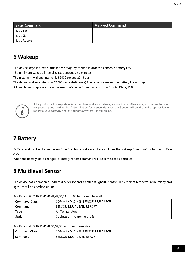| <b>Basic Command</b> | $\mid$ Mapped Command $\mid$ |
|----------------------|------------------------------|
| <b>Basic Set</b>     |                              |
| <b>Basic Get</b>     |                              |
| Basic Report         |                              |

## 6 Wakeup

The device stays in sleep status for the majority of time in order to conserve battery life.

The minimum wakeup interval is 1800 seconds(30 minutes)

The maximum wakeup interval is 86400 seconds(24 hours)

The default wakeup interval is 28800 seconds(8 hours) The value is greater, the battery life is longer.

Allowable min step among each wakeup interval is 60 seconds, such as 1860s, 1920s, 1980s...



If the product is in sleep state for a long time and your gateway shows it is in offline state, you can rediscover it via pressing and holding the Action Button for 3 seconds, then the Sensor will send a wake\_up notification report to your gateway and let your gateway that it is still online.

## 7 Battery

Battery level will be checked every time the device wake up. These includes the wakeup timer, motion trigger, button click.

When the battery state changed, a battery report command will be sent to the controller.

## 8 Multilevel Sensor

The device has a temperature/humidity sensor and a ambient light/uv sensor. The ambient temperature/humidity and light/uv will be checked period.

| <b>Command Class</b> | COMMAND CLASS SENSOR MULTILEVEL |
|----------------------|---------------------------------|
| Command              | SENSOR MULTILEVEL REPORT        |
| Type                 | Air Temperature                 |
| <b>Scale</b>         | Celsius(EU) / Fahrenheit (US)   |

See Param16,17,40,41,45,46,48,49,50,51 and 64 for more information.

See Param14,15,40,42,45,48,52,53,54 for more information.

| Command Class | `MULTILEVEL<br><b>SENSOR</b><br>COMMAND CLASS<br>$\sim$<br>$\sim$<br>- |
|---------------|------------------------------------------------------------------------|
| -ommand       | TILEVEI<br><b>SENSOR</b><br>REPORT<br>.MUL<br>$\sim$                   |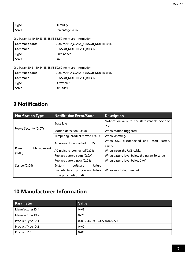| <b>Type</b> | umidity.<br>_       |
|-------------|---------------------|
| Scale       | value<br>Percentage |

See Param18,19,40,43,45,48,55,56,57 for more information.

| <b>Command Class</b> | COMMAND CLASS SENSOR MULTILEVEL |  |  |
|----------------------|---------------------------------|--|--|
| Command              | SENSOR MULTILEVEL REPORT        |  |  |
| Type                 | . Illuminance                   |  |  |
| Scale                | Lux                             |  |  |

See Param20,21,40,44,45,48,58,59,60 for more information.

| <b>Command Class</b> | COMMAND CLASS SENSOR MULTILEVEL |  |  |
|----------------------|---------------------------------|--|--|
| Command              | SENSOR MULTILEVEL REPORT        |  |  |
| <b>Type</b>          | Ultraviolet                     |  |  |
| <b>Scale</b>         | UV index                        |  |  |

## 9 Notification

| <b>Notification Type</b>                              | <b>Notification Event/State</b>   | <b>Description</b>                                 |  |
|-------------------------------------------------------|-----------------------------------|----------------------------------------------------|--|
|                                                       | State idle                        | Notification value for the state variable going to |  |
|                                                       |                                   | idle.                                              |  |
|                                                       | Motion detection (0x08)           | When motion triggered.                             |  |
| Home Security (0x07)<br>Power<br>Management<br>(0x08) | Tampering, product moved (0x09)   | When vibrating.                                    |  |
|                                                       |                                   | When USB disconnected and insert battery           |  |
|                                                       | AC mains disconnected (0x02)      | again.                                             |  |
|                                                       | AC mains re-connected(0x03)       | When insert the USB cable.                         |  |
|                                                       | Replace battery soon (0x0A)       | When battery level below the param39 value.        |  |
|                                                       | Replace battery now (0x0B)        | When battery level below 2.0V.                     |  |
| System(0x09)                                          | failure<br>software<br>System     |                                                    |  |
|                                                       | (manufacturer proprietary failure | When watch dog timeout.                            |  |
|                                                       | code provided) (0x04)             |                                                    |  |

## 10 Manufacturer Information

| <b>Parameter</b>  | Value                                   |
|-------------------|-----------------------------------------|
| Manufacturer ID 1 | 0x03                                    |
| Manufacturer ID 2 | 0x71                                    |
| Product Type ID 1 | $0x00 = EU$ , $0x01 = US$ , $0x02 = AU$ |
| Product Type ID 2 | 0x02                                    |
| Product ID 1      | 0x00                                    |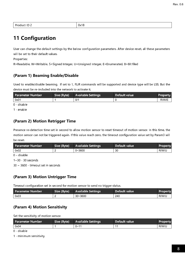| Product ID 2 | $\sqrt{0x18}$ |
|--------------|---------------|
|              |               |

## 11 Configuration

User can change the default settings by the below configuration parameters. After device reset, all these parameters will be set to their default values.

Properties:

R=Readable, W=Writable, S=Signed Integer, U=Unsigned Integer, E=Enumerated, B=Bit filed

## (Param 1) Beaming Enable/Disable

Used to enable/disable beaming. If set to 1, FLiR commands will be supported and device type will be LSS. But the device must be re-included into the network to activate it.

| l Parameter Number | Size (Byte) | Available Settings | Default value | <b>Property</b> |
|--------------------|-------------|--------------------|---------------|-----------------|
| 0x01               |             | 0/1                |               | R/W/F           |
|                    |             |                    |               |                 |

0 - disable

1 - enable

## (Param 2) Motion Retrigger Time

Presence re-detection time set in second to allow motion sensor to reset timeout of motion sensor. In this time, the motion sensor can not be triggered again. If this value reach zero, the timeout configuration value set by Param3 will be reset.

| Parameter Number | Size (Byte) | <b>Available Settings</b> | l Default value ' | <b>Property</b> |
|------------------|-------------|---------------------------|-------------------|-----------------|
| 0x02             |             | $0 - 3600$                | 30                | R/W/U           |

0 – disable

1~30 - 30 seconds

30 ~ 3600 - timeout set in seconds

## (Param 3) Motion Untrigger Time

Timeout configuration set in second for motion sensor to send no trigger status.

| <b>Parameter Number</b> | Size (Byte) | <b>Available Settings</b> | Default value | <b>Property</b> |
|-------------------------|-------------|---------------------------|---------------|-----------------|
| 0x03                    |             | $30 - 3600$               | 240           | R/W/U           |

## (Param 4) Motion Sensitivity

Set the sensitivity of motion sensor.

| Parameter Number | Size (Byte) | <b>Available Settings</b> | Default value | <b>Property</b> |
|------------------|-------------|---------------------------|---------------|-----------------|
| 0x04             |             | $0 - 11$                  |               | R/W/U           |

0 - disable

1 - minimum sensitivity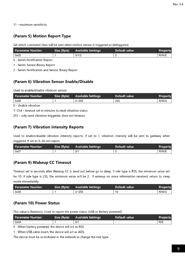11 - maximum sensitivity

## (Param 5) Motion Report Type

Set which command class will be sent when motion sensor is triggered or detriggered.

| l Parameter Number | Size (Byte) | Available Settings | ' Default value. | Property |
|--------------------|-------------|--------------------|------------------|----------|
| 0x05               |             | 0/1/2              |                  | R/W/F    |

0 - Sends Notification Report

1 - Sends Sensor Binary Report

2 - Sends Notification and Sensor Binary Report

## (Param 6) Vibration Sensor Enable/Disable

Used to enable/disable vibration sensor.

| Parameter Number | Size (Byte) | <b>Available Settings</b> | Default value | <b>Property</b> |
|------------------|-------------|---------------------------|---------------|-----------------|
| 0x06             |             | 0~255                     | 255           | R/W/U           |

0 - disable vibration

1~254 - timeout set in minutes to reset vibration status

255 - only send vibration triggered, does not timeout

## (Param 7) Vibration Intensity Reports

Used to enable/disable vibration intensity reports. If set to 1, vibration intensity will be sent to gateway when triggered. If set to 0, do not report.

| l Parameter Number | <b>Size (Byte)</b> | <b>Available Settings</b> | Default value | <b>Property</b> |
|--------------------|--------------------|---------------------------|---------------|-----------------|
| 0x07               |                    | 0/1                       |               | R/W/E           |

## (Param 9) Wakeup CC Timeout

Timeout set in seconds after Wakeup CC is send out before go to sleep. If role type is RSS, the minimum value will be 10. If role type is LSS, the minimum value will be 2. If wakeup no more information received, return to sleep mode immediately.

| <b>Parameter Number</b> | Size (Byte) | <b>Available Settings</b> | Default value | <b>Property</b> |
|-------------------------|-------------|---------------------------|---------------|-----------------|
| 0x09                    |             | $2 - 255$                 |               | R/W/U           |

## (Param 10) Power Status

This value is Readonly. Used to report the power status (USB or Battery powered)

| l Parameter Number | Size (Byte) | <b>Available Settings</b> | l Default value <sup>1</sup> | <b>Property</b> |
|--------------------|-------------|---------------------------|------------------------------|-----------------|
| 0x0A               |             | 0/1                       |                              | R/E             |

0 - When battery powered, the device will act as RSS.

1 - When USB cable insert, the device will act as AOS.

The device must be re-included in the network to change the role type.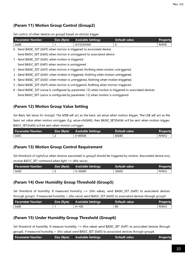## (Param 11) Motion Group Control (Group2)

| Set control of other devices on group2 based on motion trigger |
|----------------------------------------------------------------|
|----------------------------------------------------------------|

| <b>Parameter Number</b>                                                              | Size (Byte) | <b>Available Settings</b>                                                        | Default value                                                                                            | Property |
|--------------------------------------------------------------------------------------|-------------|----------------------------------------------------------------------------------|----------------------------------------------------------------------------------------------------------|----------|
| 0x0B                                                                                 | 1           | 0/1/2/3/4/5/6                                                                    | 0                                                                                                        | R/W/E    |
| 0 - Send BASIC SET (0xFF) when motion is triggered to associated device              |             |                                                                                  |                                                                                                          |          |
|                                                                                      |             | Send BASIC SET (0x00) when motion is untriggered to associated device            |                                                                                                          |          |
| 1 - Send BASIC SET (0x00) when motion is triggered                                   |             |                                                                                  |                                                                                                          |          |
| Send BASIC SET (0xFF) when motion is untriggered                                     |             |                                                                                  |                                                                                                          |          |
| 2 - Send BASIC SET (0xFF) when motion is triggered, Nothing when motion untriggered. |             |                                                                                  |                                                                                                          |          |
| 3 - Send BASIC SET (0x00) when motion is triggered, Nothing when motion untriggered. |             |                                                                                  |                                                                                                          |          |
| 4 - Send BASIC SET (0x00) when motion is untriggered, Nothing when motion triggered. |             |                                                                                  |                                                                                                          |          |
| 5 - Send BASIC SET (0xFF) when motion is untriggered, Nothing when motion triggered. |             |                                                                                  |                                                                                                          |          |
|                                                                                      |             |                                                                                  | 6 - Send BASIC SET (value is configured by parameter 12) when motion is triggered to associated devices. |          |
|                                                                                      |             | Send BASIC SET (value is configured by parameter 12) when motion is untriggered. |                                                                                                          |          |

## (Param 12) Motion Group Value Setting

Set Basic Set value for Group2. The MSB will act as the basic set value when motion trigger. The LSB will act as the basic set value when motion untrigger. E.g. value=0x0A00, then BASIC\_SET(0x0A) will be sent when motion trigger, BASIC\_SET(0x00) will be sent when motion untrigger.

| l Parameter Number | Size (Byte) | <b>Available Settings</b> | Default value | <b>Property</b> |
|--------------------|-------------|---------------------------|---------------|-----------------|
| 0x0C               |             | $0 - 65535$               | 65280         | R/W/U           |

## (Param 13) Motion Group Control Requirement

Set threshold of Light/Lux when devices associated in group2 should be triggered by motion. Associated device only receive BASIC\_SET command when light  $\leq$  = (this value).

| l Parameter Number i | Size (Byte) | <b>Available Settings</b> | Default value | <b>Property</b> |
|----------------------|-------------|---------------------------|---------------|-----------------|
| 0x0D                 |             | $0 - 30000$               | 30000         | R/W/U           |

## (Param 14) Over Humidity Group Threshold (Group5)

Set threshold of humidity. If measured humidity >= (this value), send BASIC\_SET (0xFF) to associated devices through group5. If measured humidity < (this value) send BASIC\_SET (0x00) to associated devices through group5.

| l Parameter Number | Size (Byte) | <b>Available Settings</b> | Default value | <b>Property</b> |
|--------------------|-------------|---------------------------|---------------|-----------------|
| 0x0E               |             | $0 - 100$                 | 60            | R/W/U           |

## (Param 15) Under Humidity Group Threshold (Group6)

Set threshold of humidity. If measure humidity  $\leq$  (this value) send BASIC\_SET (0xFF) to associated devices through group6. If measured humidity > (this value) send BASIC\_SET (0x00) to associated devices through group6.

| ' Parameter Number | <b>Available Settings</b> | Default value | Property |
|--------------------|---------------------------|---------------|----------|
|--------------------|---------------------------|---------------|----------|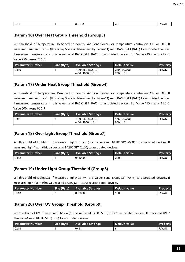| 0x0F<br>100<br>R/W'<br>AC<br>- |
|--------------------------------|
|--------------------------------|

### (Param 16) Over Heat Group Threshold (Group3)

Set threshold of temperature. Designed to control Air Conditioners or temperature controllers ON or OFF. If measured temperature >= (this value, Scale is determined by Param64) send BASIC\_SET (0xFF) to associated devices. If measured temperature < (this value) send BASIC\_SET (0x00) to associated devices. E.g. Value 239 means 23.9 C. Value 750 means 75.0 F.

| l Parameter Number | Size (Byte) | <b>Available Settings</b>                 | Default value           | Property |
|--------------------|-------------|-------------------------------------------|-------------------------|----------|
| 0x10               |             | -400~850 (EU/AU)<br>$-400 \sim 1850$ (US) | 239 (EU/AU)<br>750 (US) | R/W/S    |

#### (Param 17) Under Heat Group Threshold (Group4)

Set threshold of temperature. Designed to control Air Conditioners or temperature controllers ON or OFF. If measured temperature <= (this value, Scale is determined by Param64) send BASIC\_SET (0xFF) to associated devices. If measured temperature > (this value) send BASIC SET (0x00) to associated devices. E.g. Value 155 means 15.5 C. Value 600 means 60.0 F.

| l Parameter Number | Size (Byte) | <b>Available Settings</b> | Default value | <b>Property</b> |
|--------------------|-------------|---------------------------|---------------|-----------------|
| 0x11               |             | -400~850 (EU/AU)          | 155 (EU/AU)   | R/W/S           |
|                    |             | $-400$ ~1850 (US)         | 600 (US)      |                 |

### (Param 18) Over Light Group Threshold (Group7)

Set threshold of Light/Lux. If measured light/lux >= (this value) send BASIC SET (0xFF) to associated devices. If measured light/lux < (this value) send BASIC\_SET (0x00) to associated devices.

| Parameter Number | Size (Byte) | <b>Available Settings</b> | Default value | <b>Property</b> |
|------------------|-------------|---------------------------|---------------|-----------------|
| 0x12             |             | $0 - 30000$               | 2000          | R/W/U           |

#### (Param 19) Under Light Group Threshold (Group8)

Set threshold of Light/Lux. If measured light/lux <= (this value) send BASIC\_SET (0xFF) to associated devices. If measured light/lux  $>$  (this value) send BASIC\_SET (0x00) to associated devices.

| Parameter Number | Size (Byte) | <b>Available Settings</b> | ' Default value i | <b>Property</b> |
|------------------|-------------|---------------------------|-------------------|-----------------|
| 0x13             |             | $0 - 30000$               | 100               | R/W/U           |

#### (Param 20) Over UV Group Threshold (Group9)

Set threshold of UV. If measured UV > = (this value) send BASIC\_SET (0xFF) to associated devices. If measured UV < (this value) send BASIC\_SET (0x00) to associated devices.

| Parameter Number | Size (Byte) | <b>Available Settings</b> | Default value | <b>Property</b> |
|------------------|-------------|---------------------------|---------------|-----------------|
| 0x14             |             | $0 - 11$                  |               | R/W/U           |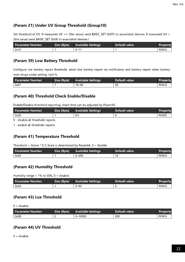## (Param 21) Under UV Group Threshold (Group10)

Set threshold of UV. If measured UV <= (this value) send BASIC\_SET (0xFF) to associated devices. If measured UV > (this value) send BASIC\_SET (0x00 to associated devices.)

| Parameter Number | Size (Byte) | <b>Available Settings</b> | Default value | <b>Property</b> |
|------------------|-------------|---------------------------|---------------|-----------------|
| 0x15             |             | $0 - 11$                  |               | R/W/U           |

#### (Param 39) Low Battery Threshold

Configure low battery report threshold, sends low battery report via notification and battery report when battery level drops under setting. Unit %.

| Parameter Number | Size (Byte) | <b>Available Settings</b> | Default value | <b>Property</b> |
|------------------|-------------|---------------------------|---------------|-----------------|
| 0x27             |             | $10 - 90$                 | 50            | R/W/U           |

## (Param 40) Threshold Check Enable/Disable

Enable/Disable threshold reporting, check time can be adjusted by Param45.

| l Parameter Number | Size (Byte) | <b>Available Settings</b> | Default value | <b>Property</b> |
|--------------------|-------------|---------------------------|---------------|-----------------|
| 0x28               |             | 0/1                       |               | R/W/E           |
|                    |             |                           |               |                 |

0 - disable all threshold reports

1 - enable all threshold reports

#### (Param 41) Temperature Threshold

Threshold = (Value  $*$  0.1) Scale is determined by Param64. 0 = disable.

| <b>Parameter Number</b> | Size (Byte) | <b>Available Settings</b> | Default value | <b>Property</b> |
|-------------------------|-------------|---------------------------|---------------|-----------------|
| 0x29                    |             | $0 - 255$                 |               | R/W/U           |

#### (Param 42) Humidity Threshold

Humidity range =  $1\%$  to 50%, 0 = disable.

| Parameter Number | Size (Byte) | <b>Available Settings</b> | Default value | <b>Property</b> |
|------------------|-------------|---------------------------|---------------|-----------------|
| 0x2A             |             | $0 - 50$                  |               | R/W/U           |

#### (Param 43) Lux Threshold

 $0 =$  disable.

| Parameter Number | Size (Byte) | <b>Available Settings</b> | Default value | <b>Property</b> |
|------------------|-------------|---------------------------|---------------|-----------------|
| 0x2B             |             | $0 - 10000$               | 250           | R/W/U           |

## (Param 44) UV Threshold

 $0 =$  disable.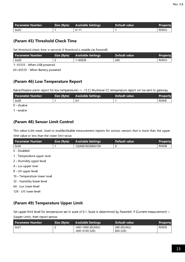| Parameter Number | Size (Byte) | <b>Available Settings</b> | Default value | <b>Property</b> |
|------------------|-------------|---------------------------|---------------|-----------------|
| 0x2C             |             | $0 - 11$                  |               | R/W/U           |

#### (Param 45) Threshold Check Time

Set threshold check time in seconds if threshold is enable via Param40.

| <b>Parameter Number</b> | Size (Byte) | <b>Available Settings</b> | Default value | <b>Property</b> |
|-------------------------|-------------|---------------------------|---------------|-----------------|
| 0x2D                    |             | 1~65535                   | 240           | R/W/U           |

1~65535 - When USB powered

60~65535 - When Battery powered

#### (Param 46) Low Temperature Report

Eable/Disable alarm report for low temperature(<= -15 C) Multilevel CC temperature report will be sent to gateway.

| <b>Parameter Number</b> | Size (Byte) | <b>Available Settings</b> | Default value | <b>Property</b> |
|-------------------------|-------------|---------------------------|---------------|-----------------|
| 0x2E                    |             | 0/1                       |               | R/W/E           |

0 - disable

1 - enable

#### (Param 48) Sensor Limit Control

This value is bit mask. Used to enable/disable measurement reports for various sensors that is more than the upper limit value or less than the lower limit value.

| Parameter Number | Size (Byte) | <b>Available Settings</b> | Default value | <b>Property</b> |
|------------------|-------------|---------------------------|---------------|-----------------|
| 0x30             |             | 1 2 4 8 16 32 64 128      |               | R/W/B           |

0 - Disabled

- 1 Temperature upper level
- 2 Humidity upper level
- 4 Lux upper level
- 8 UV upper level
- 16 Temperature lower level
- 32 Humidity lower level
- 64 Lux lower level
- 128 UV lower level

## (Param 49) Temperature Upper Limit

Set upper limit level for temperature set in scale of 0.1. Scale is determined by Param64. If (Current measurement) > (Upper Limit), then report sensor.

| Parameter Number | Size (Byte) | <b>Available Settings</b> | Default value | Property |
|------------------|-------------|---------------------------|---------------|----------|
| 0x31             |             | -400~1000 (EU/AU)         | 280 (EU/AU)   | R/W/S    |
|                  |             | $-400 - 2120$ (US)        | 824 (US)      |          |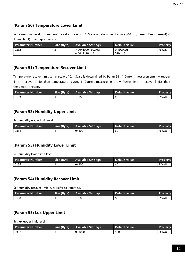## (Param 50) Temperature Lower Limit

Set lower limit level for temperature set in scale of 0.1. Scale is determined by Param64. If (Current Measurement) < (Lower limit), then report sensor.

| l Parameter Number | Size (Byte) | <b>Available Settings</b> | - Default value | Property |
|--------------------|-------------|---------------------------|-----------------|----------|
| 0x32               |             | -400~1000 (EU/AU)         | 0 (EU/AU)       | R/W/S    |
|                    |             | $-400 - 2120$ (US)        | 320 (US)        |          |

### (Param 51) Temperature Recover Limit

Temperature recover limit set in scale of 0.1. Scale is determined by Param64. If (Current measurement) <= (upper limit - recover limit), then temperature report. If (Current measurement) >= (lower limit + recover limit), then temperature report.

| l Parameter Number | Size (Byte) | <b>Available Settings</b> | Default value | <b>Property</b> |
|--------------------|-------------|---------------------------|---------------|-----------------|
| 0x33               |             | $1 - 255$                 | 20            | R/W/U           |

#### (Param 52) Humidity Upper Limit

Set humidity upper limit level.

| l Parameter Number | Size (Byte) | <b>Available Settings</b> | Default value | <b>Property</b> |
|--------------------|-------------|---------------------------|---------------|-----------------|
| 0x34               |             | $0 - 100$                 | 60            | R/W/U           |

#### (Param 53) Humidity Lower Limit

Set humidity lower limit level.

| Parameter Number | Size (Byte) | <b>Available Settings</b> | Default value | <b>Property</b> |
|------------------|-------------|---------------------------|---------------|-----------------|
| 0x35             |             | $0 - 100$                 | -40           | R/W/U           |

## (Param 54) Humidity Recover Limit

Set humidity recover limit level. Refer to Param 51.

| l Parameter Number | Size (Byte) | <b>Available Settings</b> | Default value | <b>Property</b> |
|--------------------|-------------|---------------------------|---------------|-----------------|
| 0x36               |             | 1~50                      |               | R/W/U           |

## (Param 55) Lux Upper Limit

Set lux upper limit level.

| Parameter Number | Size (Byte) | <b>Available Settings</b> | ' Default value | <b>Property</b> |
|------------------|-------------|---------------------------|-----------------|-----------------|
| 0x37             |             | $0 - 30000$               | 1000            | R/W/U           |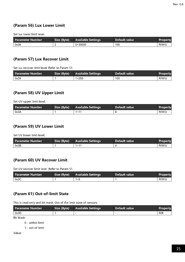## (Param 56) Lux Lower Limit

Set lux lower limit level.

| <b>Parameter Number</b> | Size (Byte) | <b>Available Settings</b> | Default value | <b>Property</b> |
|-------------------------|-------------|---------------------------|---------------|-----------------|
| 0x38                    |             | $0 - 30000$               | 100           | R/W/U           |

#### (Param 57) Lux Recover Limit

Set lux recover limit level. Refer to Param 51.

| Parameter Number | Size (Byte) | <b>Available Settings</b> | Default value | <b>Property</b> |
|------------------|-------------|---------------------------|---------------|-----------------|
| 0x39             |             | $1 - 255$                 | 100           | R/W/U           |

#### (Param 58) UV Upper Limit

Set UV upper limit level.

| <b>Parameter Number</b> | Size (Byte) | <b>Available Settings</b> | l Default value | <b>Property</b> |
|-------------------------|-------------|---------------------------|-----------------|-----------------|
| 0x3A                    |             | $1 - 11$                  |                 | R/W/U           |

#### (Param 59) UV Lower Limit

Set UV lower limit level.

| <b>Parameter Number</b> | Size (Byte) | <b>Available Settings</b> | Default value | <b>Property</b> |
|-------------------------|-------------|---------------------------|---------------|-----------------|
| 0x3B                    |             | $1 - 11$                  |               | R/W/U           |

#### (Param 60) UV Recover Limit

Set UV recover limit level. Refer to Param 51.

| l Parameter Number | Size (Byte) | <b>Available Settings</b> | Default value | Property |
|--------------------|-------------|---------------------------|---------------|----------|
| 0x3C               |             | $1\sim F$                 |               | R/W/U    |

#### (Param 61) Out-of-limit State

This is read only and bit mask. Out of the limit state of sensors.

| l Parameter Number                                                                                              | <b>Size (Byte)</b> | <b>Available Settings</b> | Default value | <b>Property</b> |
|-----------------------------------------------------------------------------------------------------------------|--------------------|---------------------------|---------------|-----------------|
| 0x3D                                                                                                            |                    |                           |               | R/B             |
| the contract of the contract of the contract of the contract of the contract of the contract of the contract of |                    |                           |               |                 |

Bit Mask:

0 - within limit

1 - out of limit

Value: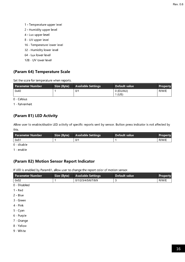- 1 Temperature upper level
- 2 Humidity upper level
- 4 Lux upper level
- 8 UV upper level
- 16 Temperature lower level
- 32 Humidity lower level
- 64 Lux lower level
- 128 UV lower level

## (Param 64) Temperature Scale

Set the scale for temperature when reports.

| Parameter Number | Size (Byte) | <b>Available Settings</b> | Default value | <b>Property</b> |
|------------------|-------------|---------------------------|---------------|-----------------|
| 0x40             |             | 0/1                       | 0 (EU/AU)     | R/W/E           |
|                  |             |                           | 1 (US)        |                 |

0 - Celsius

1 - Fahrenheit

## (Param 81) LED Activity

Allow user to enable/disable LED activity of specific reports sent by sensor. Button press indicator is not affected by this.

| l Parameter Number                                                                                                  | Size (Byte) | <b>Available Settings</b> | Default value | Property |
|---------------------------------------------------------------------------------------------------------------------|-------------|---------------------------|---------------|----------|
| 0x51                                                                                                                |             | 0/1                       |               | R/W/E    |
| and the contract of the contract of the contract of the contract of the contract of the contract of the contract of |             |                           |               |          |

0 - disable

1 - enable

## (Param 82) Motion Sensor Report Indicator

If LED is enabled by Param81, allow user to change the report color of motion sensor.

| <b>Parameter Number</b> | Size (Byte) | <b>Available Settings</b> | Default value | Property |
|-------------------------|-------------|---------------------------|---------------|----------|
| 0x52                    | 1           | 0/1/2/3/4/5/6/7/8/9       | $\sqrt{3}$    | R/W/E    |
| 0 - Disabled            |             |                           |               |          |
| 1 - Red                 |             |                           |               |          |
| 2 - Blue                |             |                           |               |          |
| 3 - Green               |             |                           |               |          |
| 4 - Pink                |             |                           |               |          |
| 5 - Cyan                |             |                           |               |          |
| 6 - Purple              |             |                           |               |          |
| 7 - Orange              |             |                           |               |          |
| 8 - Yellow              |             |                           |               |          |
| 9 White                 |             |                           |               |          |
|                         |             |                           |               |          |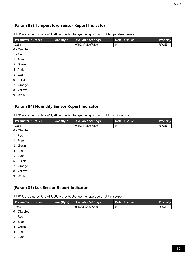## (Param 83) Temperature Sensor Report Indicator

| <b>Parameter Number</b> | Size (Byte) | <b>Available Settings</b> | Default value | Property |
|-------------------------|-------------|---------------------------|---------------|----------|
| 0x53                    | 1           | 0/1/2/3/4/5/6/7/8/9       | 0             | R/W/E    |
| 0 - Disabled            |             |                           |               |          |
| 1 - Red                 |             |                           |               |          |
| 2 - Blue                |             |                           |               |          |
| 3 - Green               |             |                           |               |          |
| 4 - Pink                |             |                           |               |          |
| 5 - Cyan                |             |                           |               |          |
| 6 - Purple              |             |                           |               |          |
| 7 - Orange              |             |                           |               |          |
| 8 - Yellow              |             |                           |               |          |

If LED is enabled by Param81, allow user to change the report color of temperature sensor.

9 - White

## (Param 84) Humidity Sensor Report Indicator

If LED is enabled by Param81, allow user to change the report color of humidity sensor.

| Parameter Number | Size (Byte) | <b>Available Settings</b> | Default value | Property |
|------------------|-------------|---------------------------|---------------|----------|
| 0x54             |             | 0/1/2/3/4/5/6/7/8/9       | 0             | R/W/E    |
| 0 - Disabled     |             |                           |               |          |
| $1 - Red$        |             |                           |               |          |
| 2 - Blue         |             |                           |               |          |
| 3 - Green        |             |                           |               |          |
| 4 - Pink         |             |                           |               |          |
| 5 - Cyan         |             |                           |               |          |
| 6 - Purple       |             |                           |               |          |
| 7 Orange         |             |                           |               |          |
| 8 - Yellow       |             |                           |               |          |
|                  |             |                           |               |          |

9 - White

## (Param 85) Lux Sensor Report Indicator

If LED is enabled by Param81, allow user to change the report color of Lux sensor.

| <b>Parameter Number</b> | Size (Byte) | <b>Available Settings</b> | Default value | <b>Property</b> |
|-------------------------|-------------|---------------------------|---------------|-----------------|
| 0x55                    |             | 0/1/2/3/4/5/6/7/8/9       | 0             | R/W/E           |
| 0 - Disabled            |             |                           |               |                 |
| $1 - Red$               |             |                           |               |                 |
| 2 Blue                  |             |                           |               |                 |
| 3 - Green               |             |                           |               |                 |

4 - Pink

5 - Cyan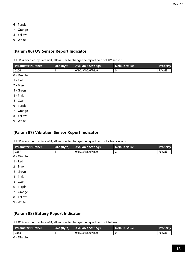- 6 Purple
- 7 Orange
- 8 Yellow
- 9 White

## (Param 86) UV Sensor Report Indicator

If LED is enabled by Param81, allow user to change the report color of UV sensor.

| Parameter Number | Size (Byte) | <b>Available Settings</b> | Default value    | Property |
|------------------|-------------|---------------------------|------------------|----------|
| 0x56             | 1           | 0/1/2/3/4/5/6/7/8/9       | $\boldsymbol{0}$ | R/W/E    |
| 0 - Disabled     |             |                           |                  |          |
| $1 - Red$        |             |                           |                  |          |
| 2 - Blue         |             |                           |                  |          |
| 3 - Green        |             |                           |                  |          |
| 4 - Pink         |             |                           |                  |          |
| 5 - Cyan         |             |                           |                  |          |
| 6 - Purple       |             |                           |                  |          |
| 7 - Orange       |             |                           |                  |          |
| 8 - Yellow       |             |                           |                  |          |

9 - White

## (Param 87) Vibration Sensor Report Indicator

If LED is enabled by Param81, allow user to change the report color of vibration sensor.

| ' Parameter Number ı | Size (Byte) | <b>Available Settings</b> | Default value | <b>Property</b> |
|----------------------|-------------|---------------------------|---------------|-----------------|
| 0x57                 |             | 0/1/2/3/4/5/6/7/8/9       |               | R/W/E           |
| 0 - Disabled         |             |                           |               |                 |

- 1 Red
- 2 Blue
- 3 Green
- 4 Pink
- 5 Cyan
- 6 Purple
- 7 Orange
- 8 Yellow
- 9 White

## (Param 88) Battery Report Indicator

If LED is enabled by Param81, allow user to change the report color of battery.

| l Parameter Number | Size (Byte) | <b>Available Settings</b> | Default value | <b>Property</b> |
|--------------------|-------------|---------------------------|---------------|-----------------|
| 0x58               |             | 0/1/2/3/4/5/6/7/8/9       |               | R/W/E           |

0 - Disabled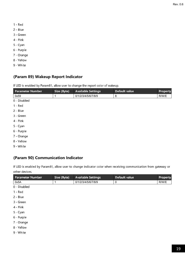- 1 Red
- 2 Blue
- 3 Green
- 4 Pink
- 5 Cyan
- 6 Purple
- 7 Orange
- 8 Yellow
- 9 White

## (Param 89) Wakeup Report Indicator

If LED is enabled by Param81, allow user to change the report color of wakeup.

| Parameter Number | Size (Byte) | <b>Available Settings</b> | Default value | Property |
|------------------|-------------|---------------------------|---------------|----------|
| 0x59             | 1           | 0/1/2/3/4/5/6/7/8/9       | 8             | R/W/E    |
| 0 - Disabled     |             |                           |               |          |
| $1 - Red$        |             |                           |               |          |
| 2 - Blue         |             |                           |               |          |
| 3 - Green        |             |                           |               |          |
| 4 Pink           |             |                           |               |          |
| 5 - Cyan         |             |                           |               |          |
| 6 - Purple       |             |                           |               |          |
| 7 - Orange       |             |                           |               |          |
| 8 - Yellow       |             |                           |               |          |

9 - White

## (Param 90) Communication Indicator

If LED is enabled by Param81, allow user to change indicator color when receiving communication from gateway or other devices.

| <b>Parameter Number</b> | Size (Byte) | <b>Available Settings</b> | Default value | Property |
|-------------------------|-------------|---------------------------|---------------|----------|
| 0x5A                    | 1           | 0/1/2/3/4/5/6/7/8/9       | 0             | R/W/E    |
| 0 - Disabled            |             |                           |               |          |
| $1 - Red$               |             |                           |               |          |
| 2 - Blue                |             |                           |               |          |
| 3 - Green               |             |                           |               |          |
| 4 Pink                  |             |                           |               |          |
| 5 - Cyan                |             |                           |               |          |
| 6 - Purple              |             |                           |               |          |
| 7 - Orange              |             |                           |               |          |
| 8 - Yellow              |             |                           |               |          |
| 9 - White               |             |                           |               |          |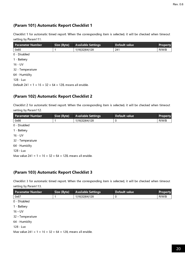## (Param 101) Automatic Report Checklist 1

Checklist 1 for automatic timed report. When the corresponding item is selected, it will be checked when timeout setting by Param111.

| <b>Parameter Number</b>                                    | Size (Byte) | <b>Available Settings</b> | Default value | <b>Property</b> |
|------------------------------------------------------------|-------------|---------------------------|---------------|-----------------|
| 0x65                                                       |             | 1 16 32 64 128            | 241           | R/W/B           |
| 0 Disabled                                                 |             |                           |               |                 |
| 1 - Battery                                                |             |                           |               |                 |
| $16 - UV$                                                  |             |                           |               |                 |
| 32 Temperature                                             |             |                           |               |                 |
| 64 - Humidity                                              |             |                           |               |                 |
| 128 - Lux                                                  |             |                           |               |                 |
| Default $241 = 1 + 16 + 32 + 64 + 128$ , means all enable. |             |                           |               |                 |

## (Param 102) Automatic Report Checklist 2

Checklist 2 for automatic timed report. When the corresponding item is selected, it will be checked when timeout setting by Param112.

| <u>se ttil og byligter i Li</u> |             |                           |               |          |
|---------------------------------|-------------|---------------------------|---------------|----------|
| <b>Parameter Number</b>         | Size (Byte) | <b>Available Settings</b> | Default value | Property |
| 0x66                            |             | 1 16 32 64 128            | 0             | R/W/B    |
| 0 - Disabled                    |             |                           |               |          |
| 1 - Battery                     |             |                           |               |          |
| $16 - UV$                       |             |                           |               |          |
| 32 - Temperature                |             |                           |               |          |
| 64 Humidity                     |             |                           |               |          |
| 128 - Lux                       |             |                           |               |          |
|                                 |             |                           |               |          |

Max value  $241 = 1 + 16 + 32 + 64 + 128$ , means all enable.

## (Param 103) Automatic Report Checklist 3

Checklist 3 for automatic timed report. When the corresponding item is selected, it will be checked when timeout setting by Param113.

| <b>Parameter Number</b>                                      | Size (Byte) | <b>Available Settings</b> | Default value | Property |
|--------------------------------------------------------------|-------------|---------------------------|---------------|----------|
| 0x67                                                         | 1           | 1 16 32 64 128            | 0             | R/W/B    |
| 0 Disabled                                                   |             |                           |               |          |
| 1 - Battery                                                  |             |                           |               |          |
| $16 - UV$                                                    |             |                           |               |          |
| 32 - Temperature                                             |             |                           |               |          |
| 64 - Humidity                                                |             |                           |               |          |
| 128 - Lux                                                    |             |                           |               |          |
| Max value $241 = 1 + 16 + 32 + 64 + 128$ , means all enable. |             |                           |               |          |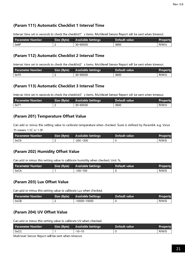## (Param 111) Automatic Checklist 1 Interval Time

Interval time set in seconds to check the checklist1's items. Multilevel Sensor Report will be sent when timeout.

| Parameter Number | Size (Byte) <sup> </sup> | <b>Available Settings</b> | Default value | <b>Property</b> |
|------------------|--------------------------|---------------------------|---------------|-----------------|
| 0x6F             |                          | $30 - 65535$              | 3600          | R/W/U           |

#### (Param 112) Automatic Checklist 2 Interval Time

Interval time set in seconds to check the checklist2's items. Multilevel Sensor Report will be sent when timeout.

| Parameter Number | Size (Byte) | <b>Available Settings</b> | Default value | Property |
|------------------|-------------|---------------------------|---------------|----------|
| 0x70             |             | $30 - 65535$              | 3600          | R/W/U    |

## (Param 113) Automatic Checklist 3 Interval Time

Interval time set in seconds to check the checklist3's items. Multilevel Sensor Report will be sent when timeout.

| Parameter Number | Size (Byte) | <b>Available Settings</b> | Default value | <b>Property</b> |
|------------------|-------------|---------------------------|---------------|-----------------|
| 0x71             |             | 30~65535                  | 3600          | R/W/U           |

## (Param 201) Temperature Offset Value

Can add or minus this setting value to calibrate temperature when checked. Scale is defined by Param64. e.g. Value 15 means 1.5C or 1.5F.

| Parameter Number | <b>Size (Byte)</b> | <b>Available Settings</b> | Default value | <b>Property</b> |
|------------------|--------------------|---------------------------|---------------|-----------------|
| 0xC9             |                    | $-200 - 200$              |               | R/W/S           |

## (Param 202) Humidity Offset Value

Can add or minus this setting value to calibrate humidity when checked. Unit: %.

| Parameter Number | Size (Byte) | <b>Available Settings</b> | Default value | <b>Property</b> |
|------------------|-------------|---------------------------|---------------|-----------------|
| 0xCA             |             | $-100 - 100$              |               | R/W/S           |

## (Param 203) Lux Offset Value

Can add or minus this setting value to calibrate Lux when checked.

| Parameter Number | Size (Byte) | <b>Available Settings</b> | Default value | <b>Property</b> |
|------------------|-------------|---------------------------|---------------|-----------------|
| 0xCB             |             | $-10000 - 10000$          |               | R/W/S           |

## (Param 204) UV Offset Value

Can add or minus this setting value to calibrate UV when checked.

| l Parameter Number | Size (Byte) | <b>Available Settings</b> | Default value | <b>Property</b> |
|--------------------|-------------|---------------------------|---------------|-----------------|
| 0xCC               |             | $-10 - 10$                |               | R/W/S           |

Multilevel Sensor Report will be sent when timeout.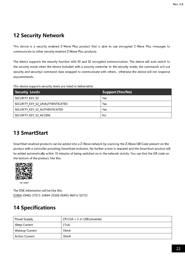## 12 Security Network

This device is a security enabled Z-Wave Plus product that is able to use encrypted Z-Wave Plus messages to communicate to other security enabled Z-Wave Plus products.

The device supports the security function with S0 and S2 encrypted communication. The device will auto switch to the security mode when the device included with a security controller. In the security mode, the commands will use security and security2 command class wrapped to communicate with others, otherwise the device will not response any commands.

This device supports security levels are listed in below table:

| Security Levels                 | Support (Yes/No) |
|---------------------------------|------------------|
| SECURITY KEY SO                 | Yes              |
| SECURITY KEY S2 UNAUTHENTICATED | Yes              |
| SECURITY KEY S2 AUTHENTICATED   | Yes              |
| SECURITY KEY S2 ACCESS          | No               |

## 13 SmartStart

SmartStart enabled products can be added into a Z-Wave network by scanning the Z-Wave QR Code present on the product with a controller providing SmartStart inclusion. No further action is required and the SmartStart product will be added automatically within 10 minutes of being switched on in the network vicinity. You can find the QR code on the bottom of the product, like this:



PIN: 03904

The DSK information will be like this: 03904-29465-27012-32844-35506-05493-46416-50723

## 14 Specifications

| Power Supply          | $CR123A \times 2$ or USB powered |
|-----------------------|----------------------------------|
| Sleep Current         | 27uA                             |
| <b>Wakeup Current</b> | 16 <sub>m</sub> A                |
| <b>Action Current</b> | 30 <sub>m</sub> A                |